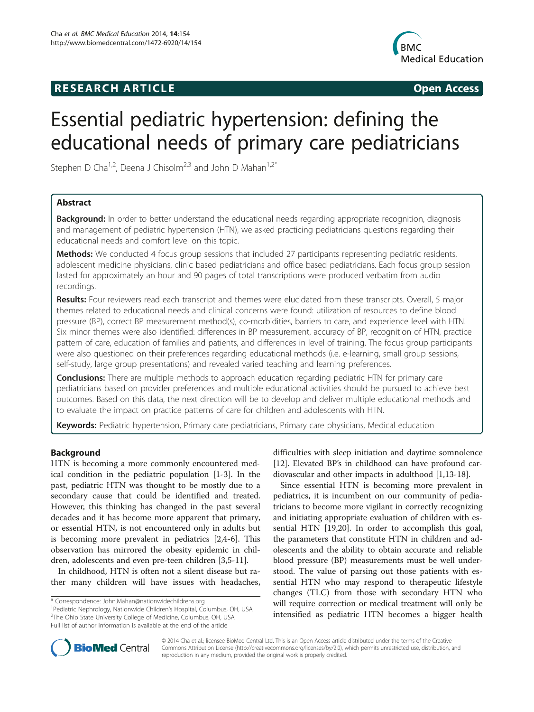## **RESEARCH ARTICLE Example 2014 CONSIDERING CONSIDERING CONSIDERING CONSIDERING CONSIDERING CONSIDERING CONSIDERING CONSIDERING CONSIDERING CONSIDERING CONSIDERING CONSIDERING CONSIDERING CONSIDERING CONSIDERING CONSIDE**



# Essential pediatric hypertension: defining the educational needs of primary care pediatricians

Stephen D Cha<sup>1,2</sup>, Deena J Chisolm<sup>2,3</sup> and John D Mahan<sup>1,2\*</sup>

## Abstract

Background: In order to better understand the educational needs regarding appropriate recognition, diagnosis and management of pediatric hypertension (HTN), we asked practicing pediatricians questions regarding their educational needs and comfort level on this topic.

Methods: We conducted 4 focus group sessions that included 27 participants representing pediatric residents, adolescent medicine physicians, clinic based pediatricians and office based pediatricians. Each focus group session lasted for approximately an hour and 90 pages of total transcriptions were produced verbatim from audio recordings.

Results: Four reviewers read each transcript and themes were elucidated from these transcripts. Overall, 5 major themes related to educational needs and clinical concerns were found: utilization of resources to define blood pressure (BP), correct BP measurement method(s), co-morbidities, barriers to care, and experience level with HTN. Six minor themes were also identified: differences in BP measurement, accuracy of BP, recognition of HTN, practice pattern of care, education of families and patients, and differences in level of training. The focus group participants were also questioned on their preferences regarding educational methods (i.e. e-learning, small group sessions, self-study, large group presentations) and revealed varied teaching and learning preferences.

Conclusions: There are multiple methods to approach education regarding pediatric HTN for primary care pediatricians based on provider preferences and multiple educational activities should be pursued to achieve best outcomes. Based on this data, the next direction will be to develop and deliver multiple educational methods and to evaluate the impact on practice patterns of care for children and adolescents with HTN.

Keywords: Pediatric hypertension, Primary care pediatricians, Primary care physicians, Medical education

## Background

HTN is becoming a more commonly encountered medical condition in the pediatric population [\[1-3](#page-5-0)]. In the past, pediatric HTN was thought to be mostly due to a secondary cause that could be identified and treated. However, this thinking has changed in the past several decades and it has become more apparent that primary, or essential HTN, is not encountered only in adults but is becoming more prevalent in pediatrics [[2,4-6](#page-5-0)]. This observation has mirrored the obesity epidemic in children, adolescents and even pre-teen children [[3,5-11](#page-5-0)].

In childhood, HTN is often not a silent disease but rather many children will have issues with headaches,

<sup>1</sup> Pediatric Nephrology, Nationwide Children's Hospital, Columbus, OH, USA <sup>2</sup>The Ohio State University College of Medicine, Columbus, OH, USA

difficulties with sleep initiation and daytime somnolence [[12\]](#page-5-0). Elevated BP's in childhood can have profound cardiovascular and other impacts in adulthood [\[1](#page-5-0),[13](#page-5-0)-[18\]](#page-5-0).

Since essential HTN is becoming more prevalent in pediatrics, it is incumbent on our community of pediatricians to become more vigilant in correctly recognizing and initiating appropriate evaluation of children with essential HTN [[19,](#page-5-0)[20\]](#page-6-0). In order to accomplish this goal, the parameters that constitute HTN in children and adolescents and the ability to obtain accurate and reliable blood pressure (BP) measurements must be well understood. The value of parsing out those patients with essential HTN who may respond to therapeutic lifestyle changes (TLC) from those with secondary HTN who will require correction or medical treatment will only be intensified as pediatric HTN becomes a bigger health



© 2014 Cha et al.; licensee BioMed Central Ltd. This is an Open Access article distributed under the terms of the Creative Commons Attribution License [\(http://creativecommons.org/licenses/by/2.0\)](http://creativecommons.org/licenses/by/2.0), which permits unrestricted use, distribution, and reproduction in any medium, provided the original work is properly credited.

<sup>\*</sup> Correspondence: [John.Mahan@nationwidechildrens.org](mailto:John.Mahan@nationwidechildrens.org) <sup>1</sup>

Full list of author information is available at the end of the article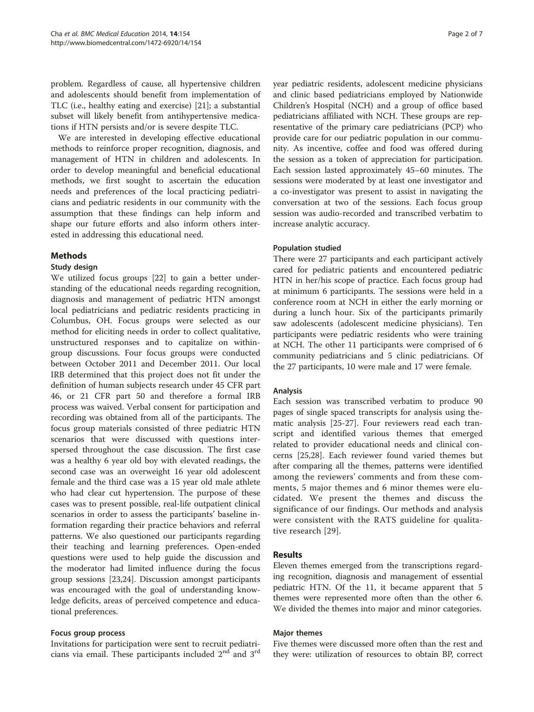problem. Regardless of cause, all hypertensive children and adolescents should benefit from implementation of TLC (i.e., healthy eating and exercise) [\[21](#page-6-0)]; a substantial subset will likely benefit from antihypertensive medications if HTN persists and/or is severe despite TLC.

We are interested in developing effective educational methods to reinforce proper recognition, diagnosis, and management of HTN in children and adolescents. In order to develop meaningful and beneficial educational methods, we first sought to ascertain the education needs and preferences of the local practicing pediatricians and pediatric residents in our community with the assumption that these findings can help inform and shape our future efforts and also inform others interested in addressing this educational need.

## Methods

#### Study design

We utilized focus groups [[22](#page-6-0)] to gain a better understanding of the educational needs regarding recognition, diagnosis and management of pediatric HTN amongst local pediatricians and pediatric residents practicing in Columbus, OH. Focus groups were selected as our method for eliciting needs in order to collect qualitative, unstructured responses and to capitalize on withingroup discussions. Four focus groups were conducted between October 2011 and December 2011. Our local IRB determined that this project does not fit under the definition of human subjects research under 45 CFR part 46, or 21 CFR part 50 and therefore a formal IRB process was waived. Verbal consent for participation and recording was obtained from all of the participants. The focus group materials consisted of three pediatric HTN scenarios that were discussed with questions interspersed throughout the case discussion. The first case was a healthy 6 year old boy with elevated readings, the second case was an overweight 16 year old adolescent female and the third case was a 15 year old male athlete who had clear cut hypertension. The purpose of these cases was to present possible, real-life outpatient clinical scenarios in order to assess the participants' baseline information regarding their practice behaviors and referral patterns. We also questioned our participants regarding their teaching and learning preferences. Open-ended questions were used to help guide the discussion and the moderator had limited influence during the focus group sessions [[23](#page-6-0),[24](#page-6-0)]. Discussion amongst participants was encouraged with the goal of understanding knowledge deficits, areas of perceived competence and educational preferences.

#### Focus group process

Invitations for participation were sent to recruit pediatricians via email. These participants included 2nd and 3rd year pediatric residents, adolescent medicine physicians and clinic based pediatricians employed by Nationwide Children's Hospital (NCH) and a group of office based pediatricians affiliated with NCH. These groups are representative of the primary care pediatricians (PCP) who provide care for our pediatric population in our community. As incentive, coffee and food was offered during the session as a token of appreciation for participation. Each session lasted approximately 45–60 minutes. The sessions were moderated by at least one investigator and a co-investigator was present to assist in navigating the conversation at two of the sessions. Each focus group session was audio-recorded and transcribed verbatim to increase analytic accuracy.

#### Population studied

There were 27 participants and each participant actively cared for pediatric patients and encountered pediatric HTN in her/his scope of practice. Each focus group had at minimum 6 participants. The sessions were held in a conference room at NCH in either the early morning or during a lunch hour. Six of the participants primarily saw adolescents (adolescent medicine physicians). Ten participants were pediatric residents who were training at NCH. The other 11 participants were comprised of 6 community pediatricians and 5 clinic pediatricians. Of the 27 participants, 10 were male and 17 were female.

## Analysis

Each session was transcribed verbatim to produce 90 pages of single spaced transcripts for analysis using thematic analysis [[25-27\]](#page-6-0). Four reviewers read each transcript and identified various themes that emerged related to provider educational needs and clinical concerns [[25,28](#page-6-0)]. Each reviewer found varied themes but after comparing all the themes, patterns were identified among the reviewers' comments and from these comments, 5 major themes and 6 minor themes were elucidated. We present the themes and discuss the significance of our findings. Our methods and analysis were consistent with the RATS guideline for qualitative research [[29\]](#page-6-0).

## Results

Eleven themes emerged from the transcriptions regarding recognition, diagnosis and management of essential pediatric HTN. Of the 11, it became apparent that 5 themes were represented more often than the other 6. We divided the themes into major and minor categories.

#### Major themes

Five themes were discussed more often than the rest and they were: utilization of resources to obtain BP, correct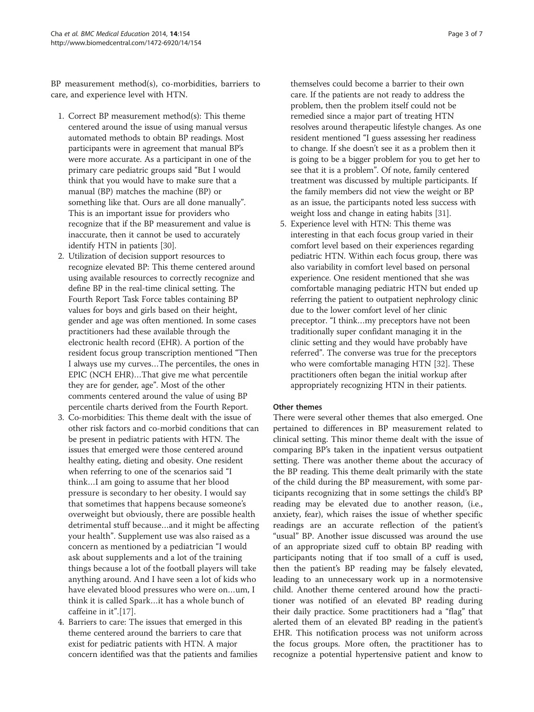BP measurement method(s), co-morbidities, barriers to care, and experience level with HTN.

- 1. Correct BP measurement method(s): This theme centered around the issue of using manual versus automated methods to obtain BP readings. Most participants were in agreement that manual BP's were more accurate. As a participant in one of the primary care pediatric groups said "But I would think that you would have to make sure that a manual (BP) matches the machine (BP) or something like that. Ours are all done manually". This is an important issue for providers who recognize that if the BP measurement and value is inaccurate, then it cannot be used to accurately identify HTN in patients [[30\]](#page-6-0).
- 2. Utilization of decision support resources to recognize elevated BP: This theme centered around using available resources to correctly recognize and define BP in the real-time clinical setting. The Fourth Report Task Force tables containing BP values for boys and girls based on their height, gender and age was often mentioned. In some cases practitioners had these available through the electronic health record (EHR). A portion of the resident focus group transcription mentioned "Then I always use my curves…The percentiles, the ones in EPIC (NCH EHR)…That give me what percentile they are for gender, age". Most of the other comments centered around the value of using BP percentile charts derived from the Fourth Report.
- 3. Co-morbidities: This theme dealt with the issue of other risk factors and co-morbid conditions that can be present in pediatric patients with HTN. The issues that emerged were those centered around healthy eating, dieting and obesity. One resident when referring to one of the scenarios said "I think…I am going to assume that her blood pressure is secondary to her obesity. I would say that sometimes that happens because someone's overweight but obviously, there are possible health detrimental stuff because…and it might be affecting your health". Supplement use was also raised as a concern as mentioned by a pediatrician "I would ask about supplements and a lot of the training things because a lot of the football players will take anything around. And I have seen a lot of kids who have elevated blood pressures who were on…um, I think it is called Spark…it has a whole bunch of caffeine in it".[\[17](#page-5-0)].
- 4. Barriers to care: The issues that emerged in this theme centered around the barriers to care that exist for pediatric patients with HTN. A major concern identified was that the patients and families

themselves could become a barrier to their own care. If the patients are not ready to address the problem, then the problem itself could not be remedied since a major part of treating HTN resolves around therapeutic lifestyle changes. As one resident mentioned "I guess assessing her readiness to change. If she doesn't see it as a problem then it is going to be a bigger problem for you to get her to see that it is a problem". Of note, family centered treatment was discussed by multiple participants. If the family members did not view the weight or BP as an issue, the participants noted less success with weight loss and change in eating habits [[31](#page-6-0)].

5. Experience level with HTN: This theme was interesting in that each focus group varied in their comfort level based on their experiences regarding pediatric HTN. Within each focus group, there was also variability in comfort level based on personal experience. One resident mentioned that she was comfortable managing pediatric HTN but ended up referring the patient to outpatient nephrology clinic due to the lower comfort level of her clinic preceptor. "I think…my preceptors have not been traditionally super confidant managing it in the clinic setting and they would have probably have referred". The converse was true for the preceptors who were comfortable managing HTN [\[32\]](#page-6-0). These practitioners often began the initial workup after appropriately recognizing HTN in their patients.

## Other themes

There were several other themes that also emerged. One pertained to differences in BP measurement related to clinical setting. This minor theme dealt with the issue of comparing BP's taken in the inpatient versus outpatient setting. There was another theme about the accuracy of the BP reading. This theme dealt primarily with the state of the child during the BP measurement, with some participants recognizing that in some settings the child's BP reading may be elevated due to another reason, (i.e., anxiety, fear), which raises the issue of whether specific readings are an accurate reflection of the patient's "usual" BP. Another issue discussed was around the use of an appropriate sized cuff to obtain BP reading with participants noting that if too small of a cuff is used, then the patient's BP reading may be falsely elevated, leading to an unnecessary work up in a normotensive child. Another theme centered around how the practitioner was notified of an elevated BP reading during their daily practice. Some practitioners had a "flag" that alerted them of an elevated BP reading in the patient's EHR. This notification process was not uniform across the focus groups. More often, the practitioner has to recognize a potential hypertensive patient and know to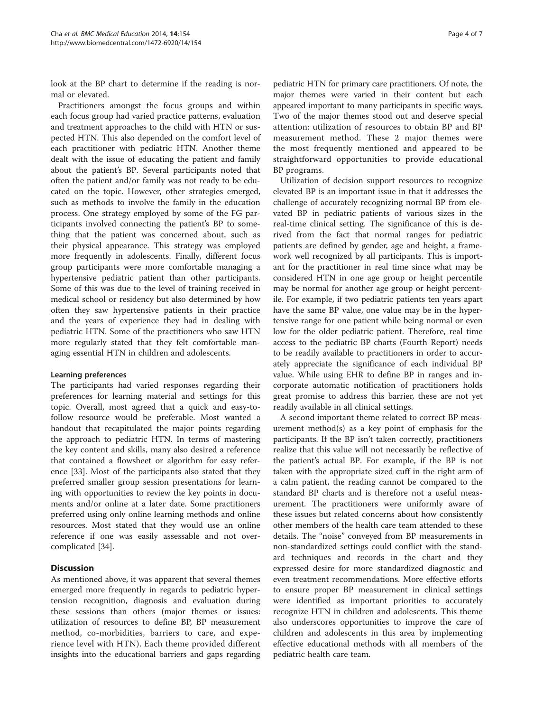look at the BP chart to determine if the reading is normal or elevated.

Practitioners amongst the focus groups and within each focus group had varied practice patterns, evaluation and treatment approaches to the child with HTN or suspected HTN. This also depended on the comfort level of each practitioner with pediatric HTN. Another theme dealt with the issue of educating the patient and family about the patient's BP. Several participants noted that often the patient and/or family was not ready to be educated on the topic. However, other strategies emerged, such as methods to involve the family in the education process. One strategy employed by some of the FG participants involved connecting the patient's BP to something that the patient was concerned about, such as their physical appearance. This strategy was employed more frequently in adolescents. Finally, different focus group participants were more comfortable managing a hypertensive pediatric patient than other participants. Some of this was due to the level of training received in medical school or residency but also determined by how often they saw hypertensive patients in their practice and the years of experience they had in dealing with pediatric HTN. Some of the practitioners who saw HTN more regularly stated that they felt comfortable managing essential HTN in children and adolescents.

## Learning preferences

The participants had varied responses regarding their preferences for learning material and settings for this topic. Overall, most agreed that a quick and easy-tofollow resource would be preferable. Most wanted a handout that recapitulated the major points regarding the approach to pediatric HTN. In terms of mastering the key content and skills, many also desired a reference that contained a flowsheet or algorithm for easy reference [\[33\]](#page-6-0). Most of the participants also stated that they preferred smaller group session presentations for learning with opportunities to review the key points in documents and/or online at a later date. Some practitioners preferred using only online learning methods and online resources. Most stated that they would use an online reference if one was easily assessable and not overcomplicated [\[34](#page-6-0)].

## **Discussion**

As mentioned above, it was apparent that several themes emerged more frequently in regards to pediatric hypertension recognition, diagnosis and evaluation during these sessions than others (major themes or issues: utilization of resources to define BP, BP measurement method, co-morbidities, barriers to care, and experience level with HTN). Each theme provided different insights into the educational barriers and gaps regarding pediatric HTN for primary care practitioners. Of note, the major themes were varied in their content but each appeared important to many participants in specific ways. Two of the major themes stood out and deserve special attention: utilization of resources to obtain BP and BP measurement method. These 2 major themes were the most frequently mentioned and appeared to be straightforward opportunities to provide educational BP programs.

Utilization of decision support resources to recognize elevated BP is an important issue in that it addresses the challenge of accurately recognizing normal BP from elevated BP in pediatric patients of various sizes in the real-time clinical setting. The significance of this is derived from the fact that normal ranges for pediatric patients are defined by gender, age and height, a framework well recognized by all participants. This is important for the practitioner in real time since what may be considered HTN in one age group or height percentile may be normal for another age group or height percentile. For example, if two pediatric patients ten years apart have the same BP value, one value may be in the hypertensive range for one patient while being normal or even low for the older pediatric patient. Therefore, real time access to the pediatric BP charts (Fourth Report) needs to be readily available to practitioners in order to accurately appreciate the significance of each individual BP value. While using EHR to define BP in ranges and incorporate automatic notification of practitioners holds great promise to address this barrier, these are not yet readily available in all clinical settings.

A second important theme related to correct BP measurement method(s) as a key point of emphasis for the participants. If the BP isn't taken correctly, practitioners realize that this value will not necessarily be reflective of the patient's actual BP. For example, if the BP is not taken with the appropriate sized cuff in the right arm of a calm patient, the reading cannot be compared to the standard BP charts and is therefore not a useful measurement. The practitioners were uniformly aware of these issues but related concerns about how consistently other members of the health care team attended to these details. The "noise" conveyed from BP measurements in non-standardized settings could conflict with the standard techniques and records in the chart and they expressed desire for more standardized diagnostic and even treatment recommendations. More effective efforts to ensure proper BP measurement in clinical settings were identified as important priorities to accurately recognize HTN in children and adolescents. This theme also underscores opportunities to improve the care of children and adolescents in this area by implementing effective educational methods with all members of the pediatric health care team.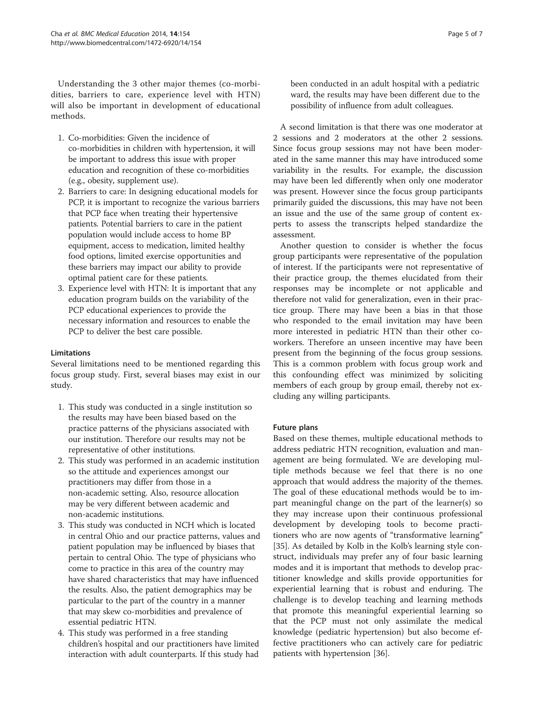Understanding the 3 other major themes (co-morbidities, barriers to care, experience level with HTN) will also be important in development of educational methods.

- 1. Co-morbidities: Given the incidence of co-morbidities in children with hypertension, it will be important to address this issue with proper education and recognition of these co-morbidities (e.g., obesity, supplement use).
- 2. Barriers to care: In designing educational models for PCP, it is important to recognize the various barriers that PCP face when treating their hypertensive patients. Potential barriers to care in the patient population would include access to home BP equipment, access to medication, limited healthy food options, limited exercise opportunities and these barriers may impact our ability to provide optimal patient care for these patients.
- 3. Experience level with HTN: It is important that any education program builds on the variability of the PCP educational experiences to provide the necessary information and resources to enable the PCP to deliver the best care possible.

## **Limitations**

Several limitations need to be mentioned regarding this focus group study. First, several biases may exist in our study.

- 1. This study was conducted in a single institution so the results may have been biased based on the practice patterns of the physicians associated with our institution. Therefore our results may not be representative of other institutions.
- 2. This study was performed in an academic institution so the attitude and experiences amongst our practitioners may differ from those in a non-academic setting. Also, resource allocation may be very different between academic and non-academic institutions.
- 3. This study was conducted in NCH which is located in central Ohio and our practice patterns, values and patient population may be influenced by biases that pertain to central Ohio. The type of physicians who come to practice in this area of the country may have shared characteristics that may have influenced the results. Also, the patient demographics may be particular to the part of the country in a manner that may skew co-morbidities and prevalence of essential pediatric HTN.
- 4. This study was performed in a free standing children's hospital and our practitioners have limited interaction with adult counterparts. If this study had

been conducted in an adult hospital with a pediatric ward, the results may have been different due to the possibility of influence from adult colleagues.

A second limitation is that there was one moderator at 2 sessions and 2 moderators at the other 2 sessions. Since focus group sessions may not have been moderated in the same manner this may have introduced some variability in the results. For example, the discussion may have been led differently when only one moderator was present. However since the focus group participants primarily guided the discussions, this may have not been an issue and the use of the same group of content experts to assess the transcripts helped standardize the assessment.

Another question to consider is whether the focus group participants were representative of the population of interest. If the participants were not representative of their practice group, the themes elucidated from their responses may be incomplete or not applicable and therefore not valid for generalization, even in their practice group. There may have been a bias in that those who responded to the email invitation may have been more interested in pediatric HTN than their other coworkers. Therefore an unseen incentive may have been present from the beginning of the focus group sessions. This is a common problem with focus group work and this confounding effect was minimized by soliciting members of each group by group email, thereby not excluding any willing participants.

## Future plans

Based on these themes, multiple educational methods to address pediatric HTN recognition, evaluation and management are being formulated. We are developing multiple methods because we feel that there is no one approach that would address the majority of the themes. The goal of these educational methods would be to impart meaningful change on the part of the learner(s) so they may increase upon their continuous professional development by developing tools to become practitioners who are now agents of "transformative learning" [[35\]](#page-6-0). As detailed by Kolb in the Kolb's learning style construct, individuals may prefer any of four basic learning modes and it is important that methods to develop practitioner knowledge and skills provide opportunities for experiential learning that is robust and enduring. The challenge is to develop teaching and learning methods that promote this meaningful experiential learning so that the PCP must not only assimilate the medical knowledge (pediatric hypertension) but also become effective practitioners who can actively care for pediatric patients with hypertension [[36\]](#page-6-0).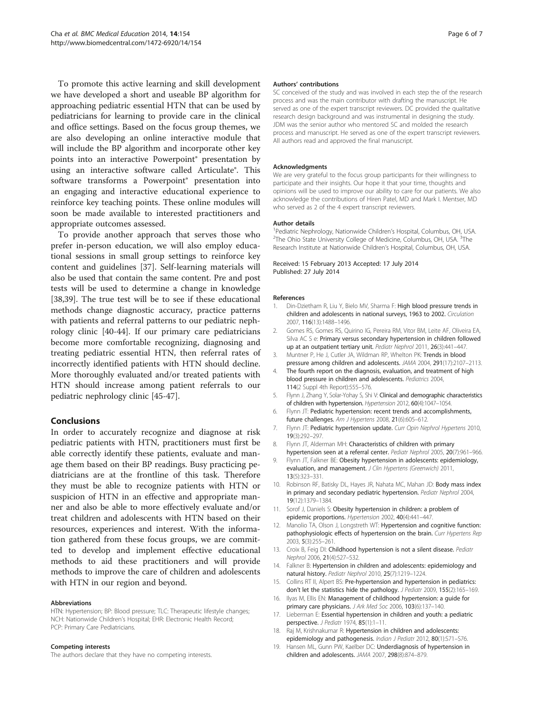<span id="page-5-0"></span>To promote this active learning and skill development we have developed a short and useable BP algorithm for approaching pediatric essential HTN that can be used by pediatricians for learning to provide care in the clinical and office settings. Based on the focus group themes, we are also developing an online interactive module that will include the BP algorithm and incorporate other key points into an interactive Powerpoint® presentation by using an interactive software called Articulate®. This software transforms a Powerpoint® presentation into an engaging and interactive educational experience to reinforce key teaching points. These online modules will soon be made available to interested practitioners and appropriate outcomes assessed.

To provide another approach that serves those who prefer in-person education, we will also employ educational sessions in small group settings to reinforce key content and guidelines [[37](#page-6-0)]. Self-learning materials will also be used that contain the same content. Pre and post tests will be used to determine a change in knowledge [[38,39\]](#page-6-0). The true test will be to see if these educational methods change diagnostic accuracy, practice patterns with patients and referral patterns to our pediatric nephrology clinic [[40-44](#page-6-0)]. If our primary care pediatricians become more comfortable recognizing, diagnosing and treating pediatric essential HTN, then referral rates of incorrectly identified patients with HTN should decline. More thoroughly evaluated and/or treated patients with HTN should increase among patient referrals to our pediatric nephrology clinic [\[45-47](#page-6-0)].

## Conclusions

In order to accurately recognize and diagnose at risk pediatric patients with HTN, practitioners must first be able correctly identify these patients, evaluate and manage them based on their BP readings. Busy practicing pediatricians are at the frontline of this task. Therefore they must be able to recognize patients with HTN or suspicion of HTN in an effective and appropriate manner and also be able to more effectively evaluate and/or treat children and adolescents with HTN based on their resources, experiences and interest. With the information gathered from these focus groups, we are committed to develop and implement effective educational methods to aid these practitioners and will provide methods to improve the care of children and adolescents with HTN in our region and beyond.

#### Abbreviations

HTN: Hypertension; BP: Blood pressure; TLC: Therapeutic lifestyle changes; NCH: Nationwide Children's Hospital; EHR: Electronic Health Record; PCP: Primary Care Pediatricians.

#### Competing interests

The authors declare that they have no competing interests.

#### Authors' contributions

SC conceived of the study and was involved in each step the of the research process and was the main contributor with drafting the manuscript. He served as one of the expert transcript reviewers. DC provided the qualitative research design background and was instrumental in designing the study. JDM was the senior author who mentored SC and molded the research process and manuscript. He served as one of the expert transcript reviewers. All authors read and approved the final manuscript.

#### Acknowledgments

We are very grateful to the focus group participants for their willingness to participate and their insights. Our hope it that your time, thoughts and opinions will be used to improve our ability to care for our patients. We also acknowledge the contributions of Hiren Patel, MD and Mark I. Mentser, MD who served as 2 of the 4 expert transcript reviewers.

#### Author details

<sup>1</sup> Pediatric Nephrology, Nationwide Children's Hospital, Columbus, OH, USA.<br><sup>2</sup>The Objo State University College of Medicine Columbus, OH, USA. <sup>3</sup>The The Ohio State University College of Medicine, Columbus, OH, USA. <sup>3</sup>The Research Institute at Nationwide Children's Hospital, Columbus, OH, USA.

#### Received: 15 February 2013 Accepted: 17 July 2014 Published: 27 July 2014

#### References

- 1. Din-Dzietham R, Liu Y, Bielo MV, Sharma F: High blood pressure trends in children and adolescents in national surveys, 1963 to 2002. Circulation 2007, 116(13):1488–1496.
- 2. Gomes RS, Gomes RS, Quirino IG, Pereira RM, Vitor BM, Leite AF, Oliveira EA, Silva AC S e: Primary versus secondary hypertension in children followed up at an outpatient tertiary unit. Pediatr Nephrol 2011, 26(3):441–447.
- 3. Muntner P, He J, Cutler JA, Wildman RP, Whelton PK: Trends in blood pressure among children and adolescents. JAMA 2004, 291(17):2107–2113.
- 4. The fourth report on the diagnosis, evaluation, and treatment of high blood pressure in children and adolescents. Pediatrics 2004, 114(2 Suppl 4th Report):555–576.
- 5. Flynn J, Zhang Y, Solar-Yohay S, Shi V: Clinical and demographic characteristics of children with hypertension. Hypertension 2012, 60(4):1047–1054.
- 6. Flynn JT: Pediatric hypertension: recent trends and accomplishments, future challenges. Am J Hypertens 2008, 21(6):605-612.
- 7. Flynn JT: Pediatric hypertension update. Curr Opin Nephrol Hypertens 2010, 19(3):292–297.
- 8. Flynn JT, Alderman MH: Characteristics of children with primary hypertension seen at a referral center. Pediatr Nephrol 2005, 20(7):961–966.
- 9. Flynn JT, Falkner BE: Obesity hypertension in adolescents: epidemiology, evaluation, and management. J Clin Hypertens (Greenwich) 2011, 13(5):323–331.
- 10. Robinson RF, Batisky DL, Hayes JR, Nahata MC, Mahan JD: Body mass index in primary and secondary pediatric hypertension. Pediatr Nephrol 2004, 19(12):1379–1384.
- 11. Sorof J, Daniels S: Obesity hypertension in children: a problem of epidemic proportions. Hypertension 2002, 40(4):441–447.
- 12. Manolio TA, Olson J, Longstreth WT: Hypertension and cognitive function: pathophysiologic effects of hypertension on the brain. Curr Hypertens Rep 2003, 5(3):255–261.
- 13. Croix B, Feig DI: Childhood hypertension is not a silent disease. Pediatr Nephrol 2006, 21(4):527–532.
- 14. Falkner B: Hypertension in children and adolescents: epidemiology and natural history. Pediatr Nephrol 2010, 25(7):1219–1224.
- 15. Collins RT II, Alpert BS: Pre-hypertension and hypertension in pediatrics: don't let the statistics hide the pathology. J Pediatr 2009, 155(2):165-169.
- 16. Ilyas M, Ellis EN: Management of childhood hypertension: a guide for primary care physicians. J Ark Med Soc 2006, 103(6):137-140.
- 17. Lieberman E: Essential hypertension in children and youth: a pediatric perspective. J Pediatr 1974, 85(1):1–11.
- 18. Raj M, Krishnakumar R: Hypertension in children and adolescents: epidemiology and pathogenesis. Indian J Pediatr 2012, 80(1):S71-S76.
- 19. Hansen ML, Gunn PW, Kaelber DC: Underdiagnosis of hypertension in children and adolescents. JAMA 2007, 298(8):874–879.